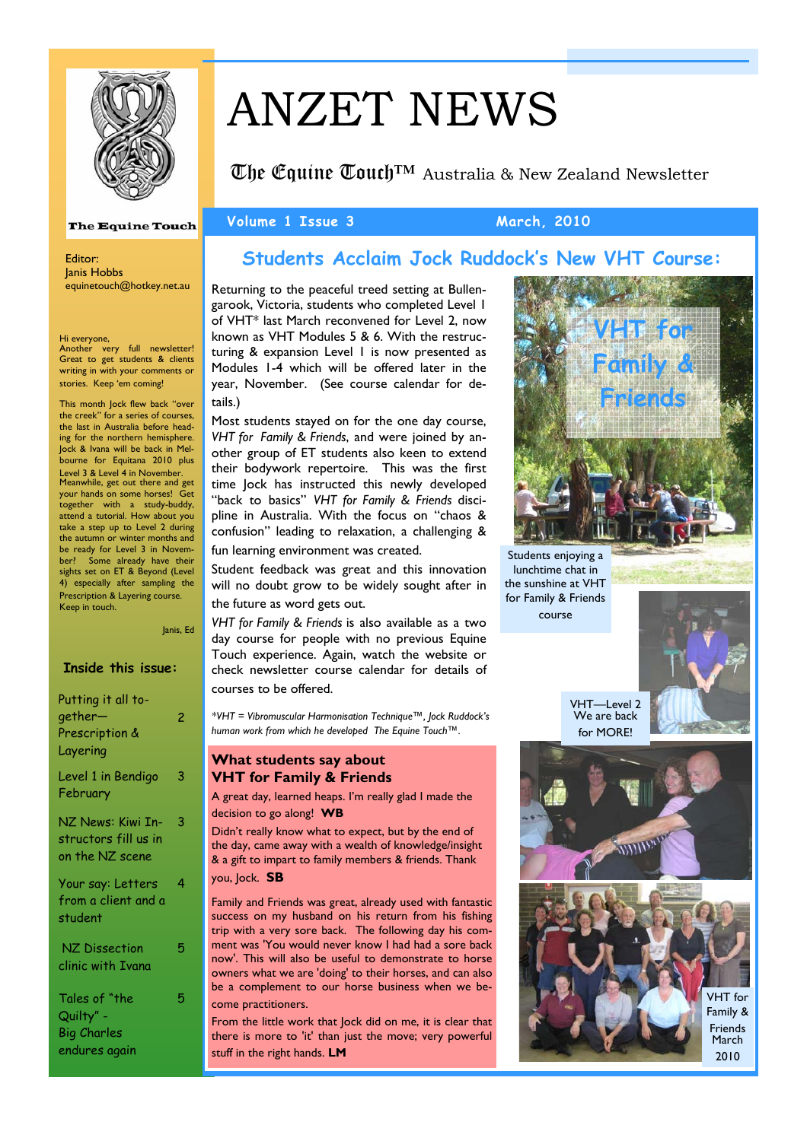

# ANZET NEWS

Volume 1 Issue 3 March, 2010

 $\mathbb{C}$ he Couine  $\mathbb{C}$ ouch<sup>™</sup> Australia & New Zealand Newsletter

#### **The Equine Touch**

Editor: Janis Hobbs equinetouch@hotkey.net.au

Hi everyone, Another very full newsletter! Great to get students & clients writing in with your comments or stories. Keep 'em coming!

This month Jock flew back "over the creek" for a series of courses, the last in Australia before heading for the northern hemisphere. Jock & Ivana will be back in Melbourne for Equitana 2010 plus Level 3 & Level 4 in November. Meanwhile, get out there and get your hands on some horses! Get together with a study-buddy, attend a tutorial. How about you take a step up to Level 2 during the autumn or winter months and be ready for Level 3 in November? Some already have their sights set on ET & Beyond (Level 4) especially after sampling the Prescription & Layering course. Keep in touch.

Janis, Ed

|  | <b>Inside this issue:</b> |
|--|---------------------------|
|  |                           |
|  |                           |
|  |                           |
|  |                           |

| Putting it all to-<br>gether—<br>Prescription &<br>Layering       | 2 |
|-------------------------------------------------------------------|---|
| Level 1 in Bendigo<br>February                                    | 3 |
| NZ News: Kiwi In-<br>structors fill us in<br>on the NZ scene      | 3 |
| Your say: Letters<br>from a client and a<br>student               | 4 |
| NZ Dissection<br>clinic with Ivana                                | 5 |
| Tales of "the<br>Quilty" -<br><b>Big Charles</b><br>endures again | 5 |

## **Students Acclaim Jock Ruddock's New VHT Course:**

Returning to the peaceful treed setting at Bullengarook, Victoria, students who completed Level 1 of VHT\* last March reconvened for Level 2, now known as VHT Modules 5 & 6. With the restructuring & expansion Level 1 is now presented as Modules 1-4 which will be offered later in the year, November. (See course calendar for details.)

Most students stayed on for the one day course, *VHT for Family & Friends*, and were joined by another group of ET students also keen to extend their bodywork repertoire. This was the first time Jock has instructed this newly developed "back to basics" *VHT for Family & Friends* discipline in Australia. With the focus on "chaos & confusion" leading to relaxation, a challenging & fun learning environment was created.

Student feedback was great and this innovation will no doubt grow to be widely sought after in the future as word gets out.

*VHT for Family & Friends* is also available as a two day course for people with no previous Equine Touch experience. Again, watch the website or check newsletter course calendar for details of courses to be offered.

*\*VHT = Vibromuscular Harmonisation Technique™, Jock Ruddock's human work from which he developed The Equine Touch™.* 

### **What students say about VHT for Family & Friends**

A great day, learned heaps. I'm really glad I made the decision to go along! **WB** 

Didn't really know what to expect, but by the end of the day, came away with a wealth of knowledge/insight & a gift to impart to family members & friends. Thank you, Jock. **SB**

Family and Friends was great, already used with fantastic success on my husband on his return from his fishing trip with a very sore back. The following day his comment was 'You would never know I had had a sore back now'. This will also be useful to demonstrate to horse owners what we are 'doing' to their horses, and can also be a complement to our horse business when we become practitioners.

From the little work that Jock did on me, it is clear that there is more to 'it' than just the move; very powerful stuff in the right hands. **LM**

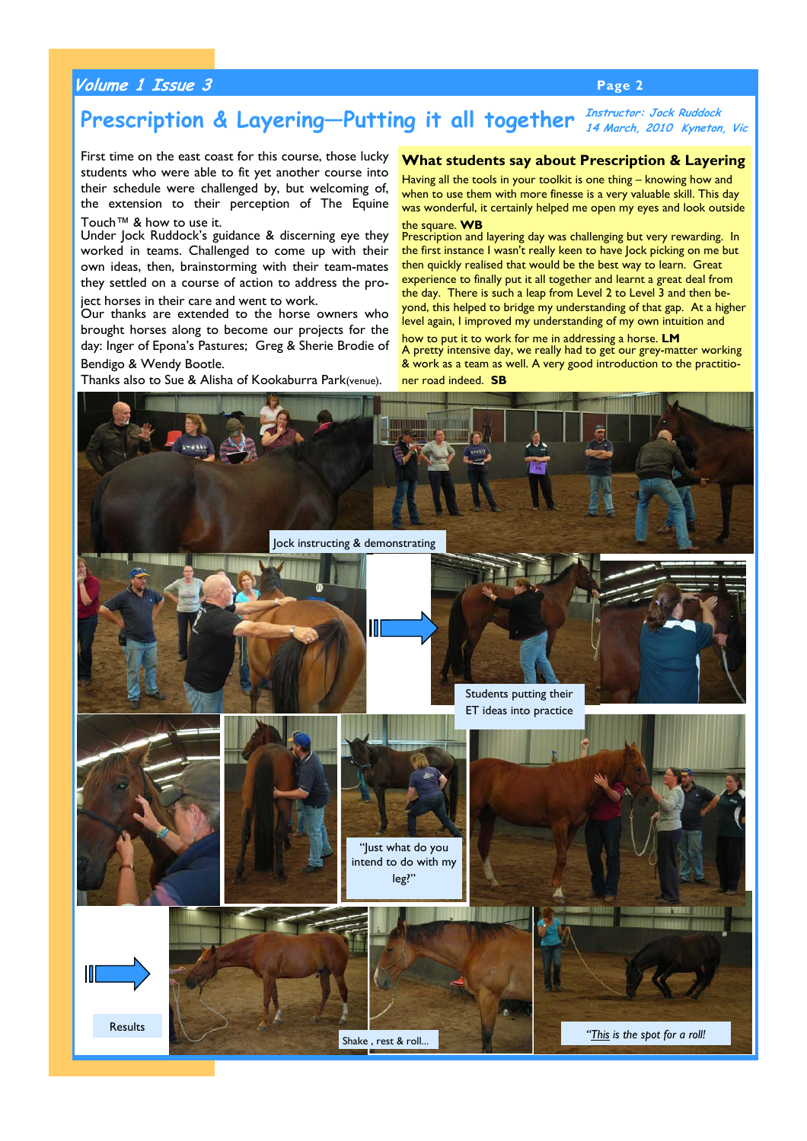### **Volume 1 Issue 3 Page 2**

#### Prescription & Layering—Putting it all together *Instructor: Jock Ruddock* **14 March, 2010 Kyneton, Vic**

First time on the east coast for this course, those lucky students who were able to fit yet another course into their schedule were challenged by, but welcoming of, the extension to their perception of The Equine Touch™ & how to use it.

Under Jock Ruddock's guidance & discerning eye they worked in teams. Challenged to come up with their own ideas, then, brainstorming with their team-mates they settled on a course of action to address the pro-

ject horses in their care and went to work.

Our thanks are extended to the horse owners who brought horses along to become our projects for the day: Inger of Epona's Pastures; Greg & Sherie Brodie of

Bendigo & Wendy Bootle.

Thanks also to Sue & Alisha of Kookaburra Park(venue).

#### **What students say about Prescription & Layering**

Having all the tools in your toolkit is one thing – knowing how and when to use them with more finesse is a very valuable skill. This day was wonderful, it certainly helped me open my eyes and look outside the square. **WB** 

Prescription and layering day was challenging but very rewarding. In the first instance I wasn't really keen to have Jock picking on me but then quickly realised that would be the best way to learn. Great experience to finally put it all together and learnt a great deal from the day. There is such a leap from Level 2 to Level 3 and then beyond, this helped to bridge my understanding of that gap. At a higher level again, I improved my understanding of my own intuition and

how to put it to work for me in addressing a horse. **LM**  A pretty intensive day, we really had to get our grey-matter working & work as a team as well. A very good introduction to the practitioner road indeed. **SB** 

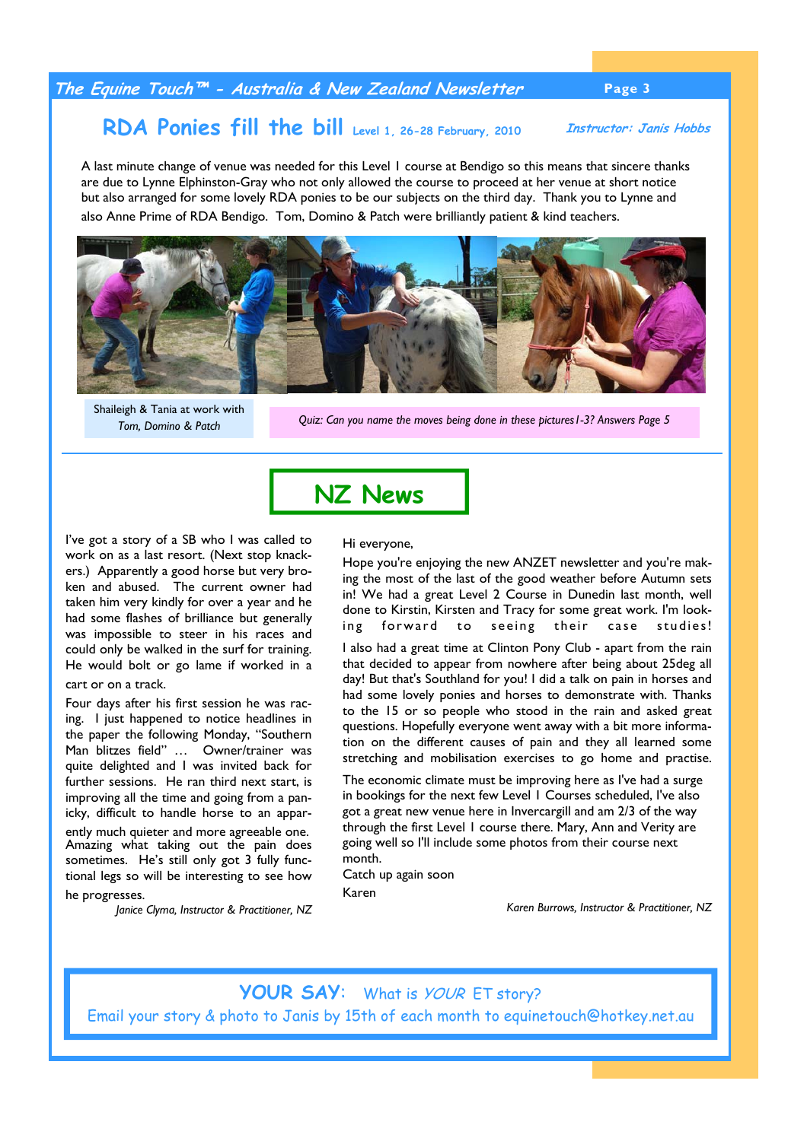### **The Equine Touch™ - Australia & New Zealand Newsletter Page 3**

#### **RDA Ponies fill the bill Level 1, 26-28 February, 2010 Instructor: Janis Hobbs**

A last minute change of venue was needed for this Level 1 course at Bendigo so this means that sincere thanks are due to Lynne Elphinston-Gray who not only allowed the course to proceed at her venue at short notice but also arranged for some lovely RDA ponies to be our subjects on the third day. Thank you to Lynne and also Anne Prime of RDA Bendigo. Tom, Domino & Patch were brilliantly patient & kind teachers.



*Tom, Domino & Patch*

**Shaileigh & Tania at work with**<br>*Quiz: Can you name the moves being done in these pictures1-3? Answers Page 5 Quiz: Can you name the moves being done in these pictures1-3? Answers Page 5* 

I've got a story of a SB who I was called to work on as a last resort. (Next stop knackers.) Apparently a good horse but very broken and abused. The current owner had taken him very kindly for over a year and he had some flashes of brilliance but generally was impossible to steer in his races and could only be walked in the surf for training. He would bolt or go lame if worked in a cart or on a track.

Four days after his first session he was racing. I just happened to notice headlines in the paper the following Monday, "Southern Man blitzes field" … Owner/trainer was quite delighted and I was invited back for further sessions. He ran third next start, is improving all the time and going from a panicky, difficult to handle horse to an apparently much quieter and more agreeable one. Amazing what taking out the pain does sometimes. He's still only got 3 fully functional legs so will be interesting to see how he progresses.

*Janice Clyma, Instructor & Practitioner, NZ* 

#### Hi everyone,

**NZ News**

Hope you're enjoying the new ANZET newsletter and you're making the most of the last of the good weather before Autumn sets in! We had a great Level 2 Course in Dunedin last month, well done to Kirstin, Kirsten and Tracy for some great work. I'm looking forward to seeing their case studies!

I also had a great time at Clinton Pony Club - apart from the rain that decided to appear from nowhere after being about 25deg all day! But that's Southland for you! I did a talk on pain in horses and had some lovely ponies and horses to demonstrate with. Thanks to the 15 or so people who stood in the rain and asked great questions. Hopefully everyone went away with a bit more information on the different causes of pain and they all learned some stretching and mobilisation exercises to go home and practise.

The economic climate must be improving here as I've had a surge in bookings for the next few Level 1 Courses scheduled, I've also got a great new venue here in Invercargill and am 2/3 of the way through the first Level 1 course there. Mary, Ann and Verity are going well so I'll include some photos from their course next month.

Catch up again soon

Karen

*Karen Burrows, Instructor & Practitioner, NZ* 

# YOUR SAY: What is *YOUR* ET story?

Email your story & photo to Janis by 15th of each month to equinetouch@hotkey.net.au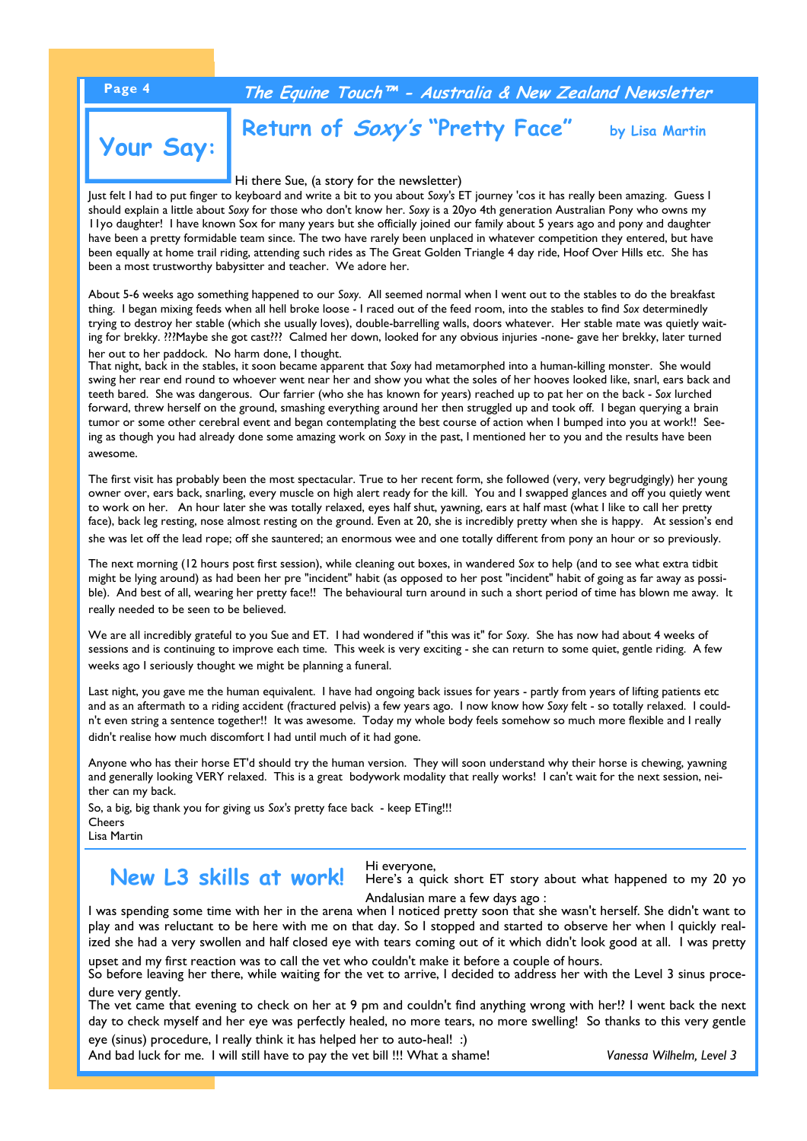## **Page 4 The Equine Touch™ - Australia & New Zealand Newsletter**

# **Your Say:**

# **Return of Soxy's "Pretty Face"** by Lisa Martin

Hi there Sue, (a story for the newsletter)

Just felt I had to put finger to keyboard and write a bit to you about *Soxy's* ET journey 'cos it has really been amazing. Guess I should explain a little about *Soxy* for those who don't know her. *Soxy* is a 20yo 4th generation Australian Pony who owns my 11yo daughter! I have known Sox for many years but she officially joined our family about 5 years ago and pony and daughter have been a pretty formidable team since. The two have rarely been unplaced in whatever competition they entered, but have been equally at home trail riding, attending such rides as The Great Golden Triangle 4 day ride, Hoof Over Hills etc. She has been a most trustworthy babysitter and teacher. We adore her.

About 5-6 weeks ago something happened to our *Soxy*. All seemed normal when I went out to the stables to do the breakfast thing. I began mixing feeds when all hell broke loose - I raced out of the feed room, into the stables to find *Sox* determinedly trying to destroy her stable (which she usually loves), double-barrelling walls, doors whatever. Her stable mate was quietly waiting for brekky. ???Maybe she got cast??? Calmed her down, looked for any obvious injuries -none- gave her brekky, later turned her out to her paddock. No harm done, I thought.

That night, back in the stables, it soon became apparent that *Soxy* had metamorphed into a human-killing monster. She would swing her rear end round to whoever went near her and show you what the soles of her hooves looked like, snarl, ears back and teeth bared. She was dangerous. Our farrier (who she has known for years) reached up to pat her on the back - *Sox* lurched forward, threw herself on the ground, smashing everything around her then struggled up and took off. I began querying a brain tumor or some other cerebral event and began contemplating the best course of action when I bumped into you at work!! Seeing as though you had already done some amazing work on *Soxy* in the past, I mentioned her to you and the results have been awesome.

The first visit has probably been the most spectacular. True to her recent form, she followed (very, very begrudgingly) her young owner over, ears back, snarling, every muscle on high alert ready for the kill. You and I swapped glances and off you quietly went to work on her. An hour later she was totally relaxed, eyes half shut, yawning, ears at half mast (what I like to call her pretty face), back leg resting, nose almost resting on the ground. Even at 20, she is incredibly pretty when she is happy. At session's end she was let off the lead rope; off she sauntered; an enormous wee and one totally different from pony an hour or so previously.

The next morning (12 hours post first session), while cleaning out boxes, in wandered *Sox* to help (and to see what extra tidbit might be lying around) as had been her pre "incident" habit (as opposed to her post "incident" habit of going as far away as possible). And best of all, wearing her pretty face!! The behavioural turn around in such a short period of time has blown me away. It really needed to be seen to be believed.

We are all incredibly grateful to you Sue and ET. I had wondered if "this was it" for *Soxy*. She has now had about 4 weeks of sessions and is continuing to improve each time. This week is very exciting - she can return to some quiet, gentle riding. A few weeks ago I seriously thought we might be planning a funeral.

Last night, you gave me the human equivalent. I have had ongoing back issues for years - partly from years of lifting patients etc and as an aftermath to a riding accident (fractured pelvis) a few years ago. I now know how *Soxy* felt - so totally relaxed. I couldn't even string a sentence together!! It was awesome. Today my whole body feels somehow so much more flexible and I really didn't realise how much discomfort I had until much of it had gone.

Anyone who has their horse ET'd should try the human version. They will soon understand why their horse is chewing, yawning and generally looking VERY relaxed. This is a great bodywork modality that really works! I can't wait for the next session, neither can my back.

So, a big, big thank you for giving us *Sox's* pretty face back - keep ETing!!! Cheers Lisa Martin

# **New L3 skills at work!**

Hi everyone, Here's a quick short ET story about what happened to my 20 yo Andalusian mare a few days ago :

I was spending some time with her in the arena when I noticed pretty soon that she wasn't herself. She didn't want to play and was reluctant to be here with me on that day. So I stopped and started to observe her when I quickly realized she had a very swollen and half closed eye with tears coming out of it which didn't look good at all. I was pretty upset and my first reaction was to call the vet who couldn't make it before a couple of hours.

So before leaving her there, while waiting for the vet to arrive, I decided to address her with the Level 3 sinus procedure very gently.

The vet came that evening to check on her at 9 pm and couldn't find anything wrong with her!? I went back the next day to check myself and her eye was perfectly healed, no more tears, no more swelling! So thanks to this very gentle

eye (sinus) procedure, I really think it has helped her to auto-heal! :) And bad luck for me. I will still have to pay the vet bill !!! What a shame! *Vanessa Wilhelm, Level 3*